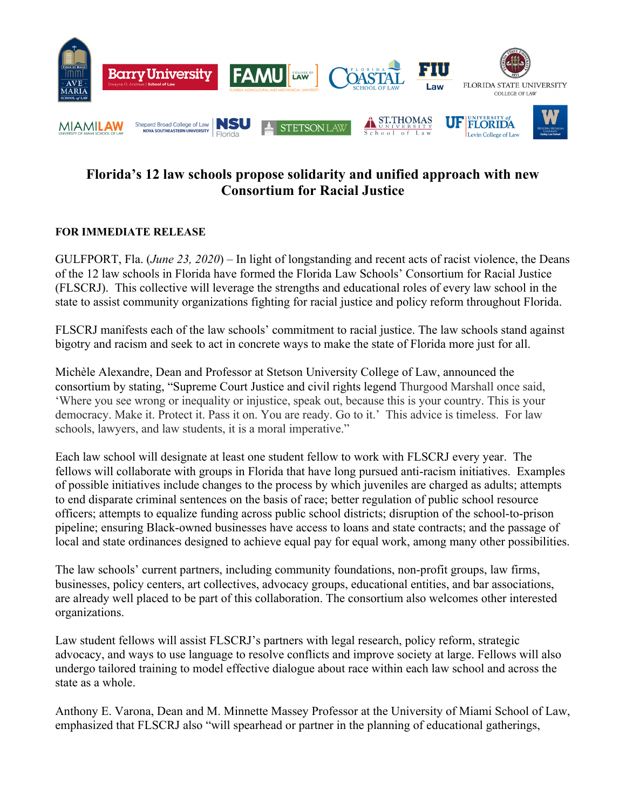

## **Florida's 12 law schools propose solidarity and unified approach with new Consortium for Racial Justice**

## **FOR IMMEDIATE RELEASE**

GULFPORT, Fla. (*June 23, 2020*) – In light of longstanding and recent acts of racist violence, the Deans of the 12 law schools in Florida have formed the Florida Law Schools' Consortium for Racial Justice (FLSCRJ). This collective will leverage the strengths and educational roles of every law school in the state to assist community organizations fighting for racial justice and policy reform throughout Florida.

FLSCRJ manifests each of the law schools' commitment to racial justice. The law schools stand against bigotry and racism and seek to act in concrete ways to make the state of Florida more just for all.

Michèle Alexandre, Dean and Professor at Stetson University College of Law, announced the consortium by stating, "Supreme Court Justice and civil rights legend Thurgood Marshall once said, 'Where you see wrong or inequality or injustice, speak out, because this is your country. This is your democracy. Make it. Protect it. Pass it on. You are ready. Go to it.' This advice is timeless. For law schools, lawyers, and law students, it is a moral imperative."

Each law school will designate at least one student fellow to work with FLSCRJ every year. The fellows will collaborate with groups in Florida that have long pursued anti-racism initiatives. Examples of possible initiatives include changes to the process by which juveniles are charged as adults; attempts to end disparate criminal sentences on the basis of race; better regulation of public school resource officers; attempts to equalize funding across public school districts; disruption of the school-to-prison pipeline; ensuring Black-owned businesses have access to loans and state contracts; and the passage of local and state ordinances designed to achieve equal pay for equal work, among many other possibilities.

The law schools' current partners, including community foundations, non-profit groups, law firms, businesses, policy centers, art collectives, advocacy groups, educational entities, and bar associations, are already well placed to be part of this collaboration. The consortium also welcomes other interested organizations.

Law student fellows will assist FLSCRJ's partners with legal research, policy reform, strategic advocacy, and ways to use language to resolve conflicts and improve society at large. Fellows will also undergo tailored training to model effective dialogue about race within each law school and across the state as a whole.

Anthony E. Varona, Dean and M. Minnette Massey Professor at the University of Miami School of Law, emphasized that FLSCRJ also "will spearhead or partner in the planning of educational gatherings,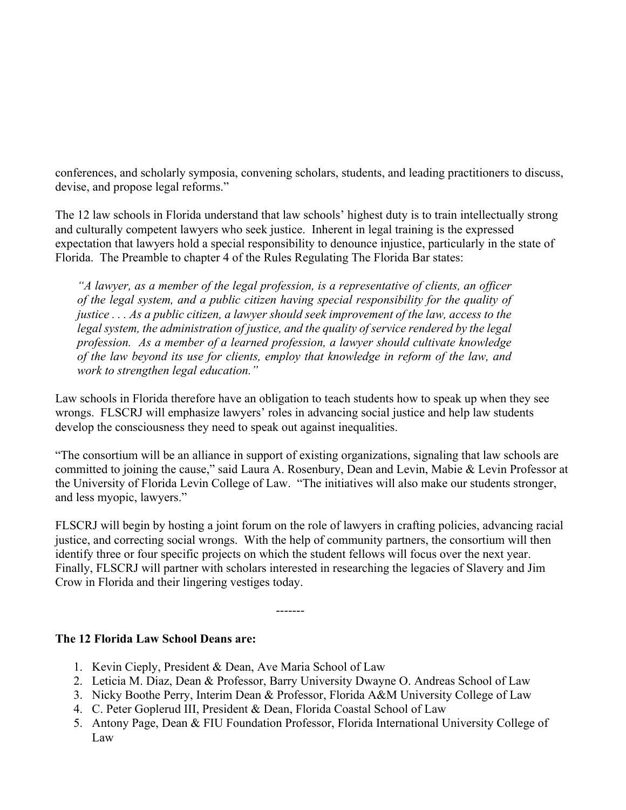conferences, and scholarly symposia, convening scholars, students, and leading practitioners to discuss, devise, and propose legal reforms."

The 12 law schools in Florida understand that law schools' highest duty is to train intellectually strong and culturally competent lawyers who seek justice. Inherent in legal training is the expressed expectation that lawyers hold a special responsibility to denounce injustice, particularly in the state of Florida. The Preamble to chapter 4 of the Rules Regulating The Florida Bar states:

*"A lawyer, as a member of the legal profession, is a representative of clients, an officer of the legal system, and a public citizen having special responsibility for the quality of justice . . . As a public citizen, a lawyer should seek improvement of the law, access to the legal system, the administration of justice, and the quality of service rendered by the legal profession. As a member of a learned profession, a lawyer should cultivate knowledge of the law beyond its use for clients, employ that knowledge in reform of the law, and work to strengthen legal education."* 

Law schools in Florida therefore have an obligation to teach students how to speak up when they see wrongs. FLSCRJ will emphasize lawyers' roles in advancing social justice and help law students develop the consciousness they need to speak out against inequalities.

"The consortium will be an alliance in support of existing organizations, signaling that law schools are committed to joining the cause," said Laura A. Rosenbury, Dean and Levin, Mabie & Levin Professor at the University of Florida Levin College of Law. "The initiatives will also make our students stronger, and less myopic, lawyers."

FLSCRJ will begin by hosting a joint forum on the role of lawyers in crafting policies, advancing racial justice, and correcting social wrongs. With the help of community partners, the consortium will then identify three or four specific projects on which the student fellows will focus over the next year. Finally, FLSCRJ will partner with scholars interested in researching the legacies of Slavery and Jim Crow in Florida and their lingering vestiges today.

-------

## **The 12 Florida Law School Deans are:**

- 1. Kevin Cieply, President & Dean, Ave Maria School of Law
- 2. Leticia M. Diaz, Dean & Professor, Barry University Dwayne O. Andreas School of Law
- 3. Nicky Boothe Perry, Interim Dean & Professor, Florida A&M University College of Law
- 4. C. Peter Goplerud III, President & Dean, Florida Coastal School of Law
- 5. Antony Page, Dean & FIU Foundation Professor, Florida International University College of Law